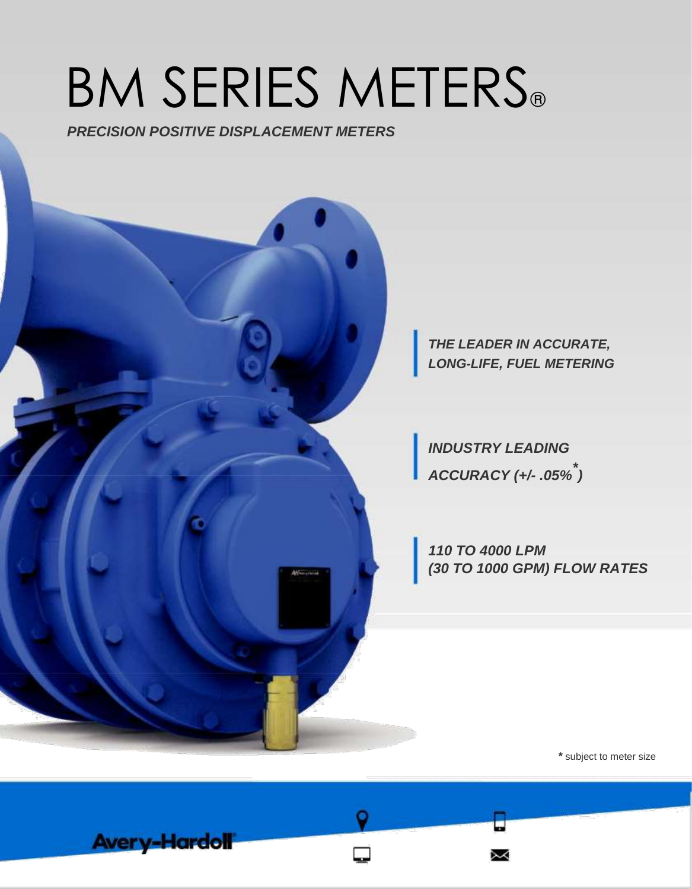# BM SERIES METERS®

*PRECISION POSITIVE DISPLACEMENT METERS*

**Avery-Hardoll** 



*\** subject to meter size

⋋⋌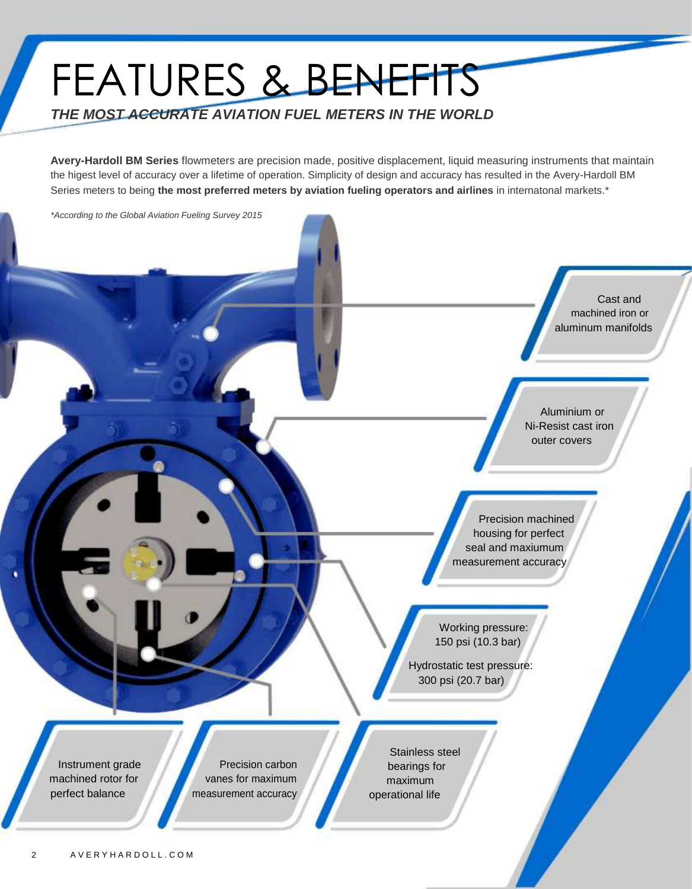### FEATURES & BENEFITS *THE MOST ACCURATE AVIATION FUEL METERS IN THE WORLD*

**Avery-Hardoll BM Series** flowmeters are precision made, positive displacement, liquid measuring instruments that maintain the higest level of accuracy over a lifetime of operation. Simplicity of design and accuracy has resulted in the Avery-Hardoll BM Series meters to being **the most preferred meters by aviation fueling operators and airlines** in internatonal markets.\*

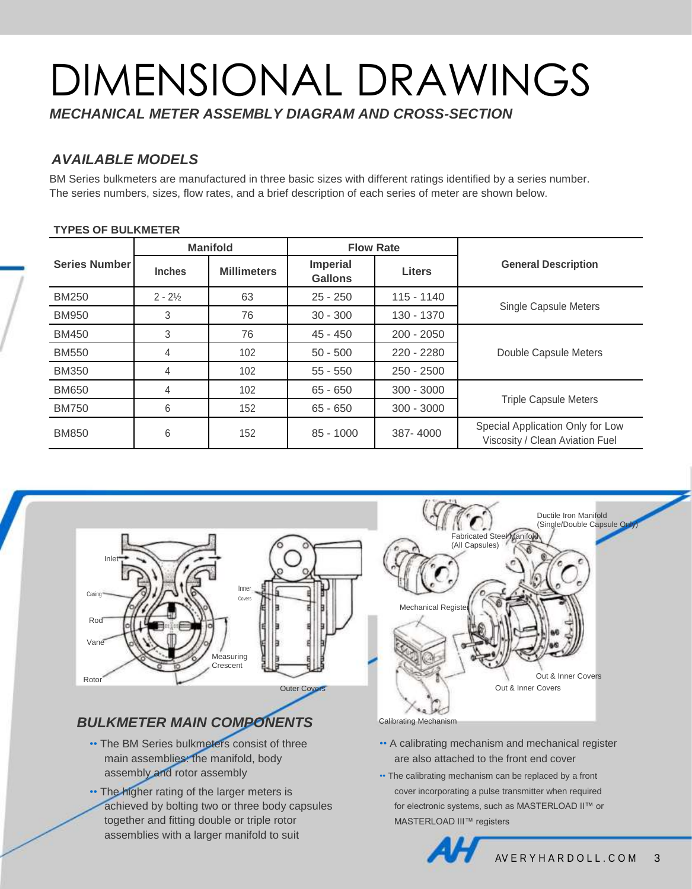## DIMENSIONAL DRAWINGS

*MECHANICAL METER ASSEMBLY DIAGRAM AND CROSS-SECTION*

#### *AVAILABLE MODELS*

BM Series bulkmeters are manufactured in three basic sizes with different ratings identified by a series number. The series numbers, sizes, flow rates, and a brief description of each series of meter are shown below.

#### **TYPES OF BULKMETER**

|                      |                    | <b>Manifold</b>    |                                   | <b>Flow Rate</b> |                                                                     |  |  |  |
|----------------------|--------------------|--------------------|-----------------------------------|------------------|---------------------------------------------------------------------|--|--|--|
| <b>Series Number</b> | <b>Inches</b>      | <b>Millimeters</b> | <b>Imperial</b><br><b>Gallons</b> | <b>Liters</b>    | <b>General Description</b>                                          |  |  |  |
| <b>BM250</b>         | $2 - 2\frac{1}{2}$ | 63                 | $25 - 250$                        | $115 - 1140$     |                                                                     |  |  |  |
| <b>BM950</b>         | 3                  | 76                 | $30 - 300$                        | 130 - 1370       | Single Capsule Meters                                               |  |  |  |
| <b>BM450</b>         | 3                  | 76                 | $45 - 450$                        | $200 - 2050$     |                                                                     |  |  |  |
| <b>BM550</b>         | 4                  | 102                | $50 - 500$                        | 220 - 2280       | Double Capsule Meters                                               |  |  |  |
| <b>BM350</b>         | 4                  | 102                | $55 - 550$                        | $250 - 2500$     |                                                                     |  |  |  |
| <b>BM650</b>         | 4                  | 102                | $65 - 650$                        | $300 - 3000$     |                                                                     |  |  |  |
| <b>BM750</b>         | 6                  | 152                | $65 - 650$                        | $300 - 3000$     | <b>Triple Capsule Meters</b>                                        |  |  |  |
| <b>BM850</b>         | 6                  | 152                | $85 - 1000$                       | 387-4000         | Special Application Only for Low<br>Viscosity / Clean Aviation Fuel |  |  |  |



### *BULKMETER MAIN COMPONENTS*

- The BM Series bulkmeters consist of three main assemblies: the manifold, body assembly and rotor assembly
- •• The higher rating of the larger meters is achieved by bolting two or three body capsules together and fitting double or triple rotor assemblies with a larger manifold to suit



- A calibrating mechanism and mechanical register are also attached to the front end cover
- •• The calibrating mechanism can be replaced by a front cover incorporating a pulse transmitter when required for electronic systems, such as MASTERLOAD II™ or MASTERLOAD III™ registers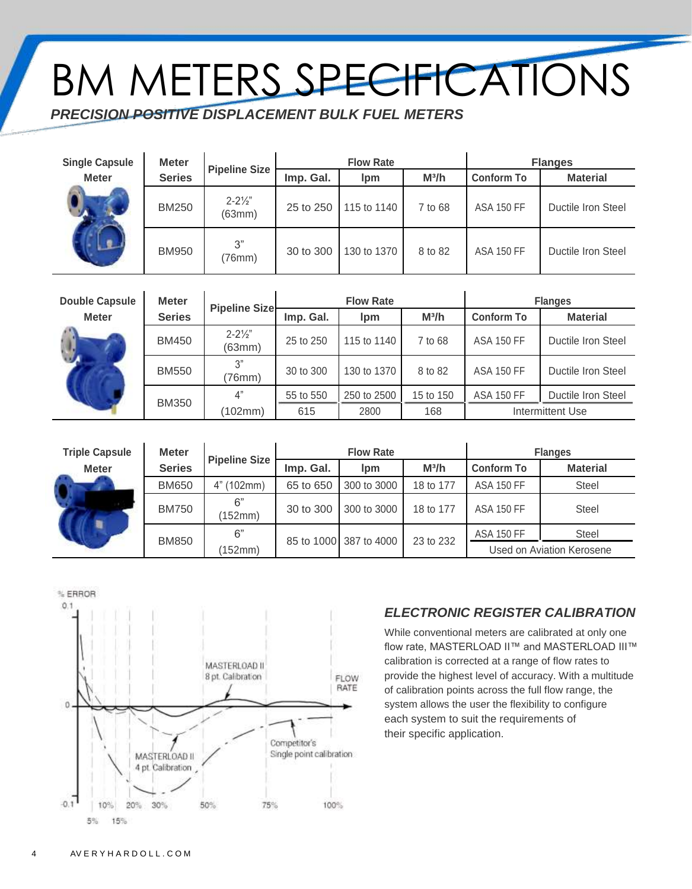## BM METERS SPECIFICATIONS

*PRECISION POSITIVE DISPLACEMENT BULK FUEL METERS*

| <b>Single Capsule</b> | <b>Meter</b>  | <b>Pipeline Size</b>         |           | <b>Flow Rate</b>      |         | <b>Flanges</b>    |                    |  |  |
|-----------------------|---------------|------------------------------|-----------|-----------------------|---------|-------------------|--------------------|--|--|
| <b>Meter</b>          | <b>Series</b> |                              | Imp. Gal. | $M^3/h$<br><b>lpm</b> |         | <b>Conform To</b> | <b>Material</b>    |  |  |
|                       | <b>BM250</b>  | $2 - 2\frac{1}{2}$<br>(63mm) | 25 to 250 | 115 to 1140           | 7 to 68 | <b>ASA 150 FF</b> | Ductile Iron Steel |  |  |
|                       | <b>BM950</b>  | 3"<br>(76mm)                 | 30 to 300 | 130 to 1370           | 8 to 82 | <b>ASA 150 FF</b> | Ductile Iron Steel |  |  |

| <b>Double Capsule</b> | <b>Meter</b>  | <b>Pipeline Size</b>         |           | <b>Flow Rate</b>       |           | <b>Flanges</b>    |                    |  |  |
|-----------------------|---------------|------------------------------|-----------|------------------------|-----------|-------------------|--------------------|--|--|
| <b>Meter</b>          | <b>Series</b> |                              | Imp. Gal. | <i>lpm</i>             | $M^3/h$   | <b>Conform To</b> | <b>Material</b>    |  |  |
|                       | <b>BM450</b>  | $2 - 2\frac{1}{2}$<br>(63mm) | 25 to 250 | 115 to 1140<br>7 to 68 |           | <b>ASA 150 FF</b> | Ductile Iron Steel |  |  |
|                       | <b>BM550</b>  | 3"<br>(76mm)                 | 30 to 300 | 130 to 1370            | 8 to 82   | <b>ASA 150 FF</b> | Ductile Iron Steel |  |  |
|                       | <b>BM350</b>  | 4"                           | 55 to 550 | 250 to 2500            | 15 to 150 | <b>ASA 150 FF</b> | Ductile Iron Steel |  |  |
|                       |               | (102mm)                      | 615       | 2800                   | 168       |                   | Intermittent Use   |  |  |

| <b>Triple Capsule</b> | <b>Meter</b>  | <b>Pipeline Size</b> |           | <b>Flow Rate</b>       |           | <b>Flanges</b>            |                 |  |  |
|-----------------------|---------------|----------------------|-----------|------------------------|-----------|---------------------------|-----------------|--|--|
| <b>Meter</b>          | <b>Series</b> |                      | Imp. Gal. | lpm                    | $M^3/h$   | <b>Conform To</b>         | <b>Material</b> |  |  |
|                       | <b>BM650</b>  | (102mm)              | 65 to 650 | 300 to 3000            | 18 to 177 | <b>ASA 150 FF</b>         | <b>Steel</b>    |  |  |
|                       | <b>BM750</b>  | 6"<br>(152mm)        | 30 to 300 | 300 to 3000            | 18 to 177 | <b>ASA 150 FF</b>         | <b>Steel</b>    |  |  |
|                       | <b>BM850</b>  | 6"                   |           |                        |           | <b>ASA 150 FF</b>         | <b>Steel</b>    |  |  |
|                       |               | (152mm)              |           | 85 to 1000 387 to 4000 | 23 to 232 | Used on Aviation Kerosene |                 |  |  |



#### *ELECTRONIC REGISTER CALIBRATION*

While conventional meters are calibrated at only one flow rate, MASTERLOAD II™ and MASTERLOAD III™ calibration is corrected at a range of flow rates to provide the highest level of accuracy. With a multitude of calibration points across the full flow range, the system allows the user the flexibility to configure each system to suit the requirements of their specific application.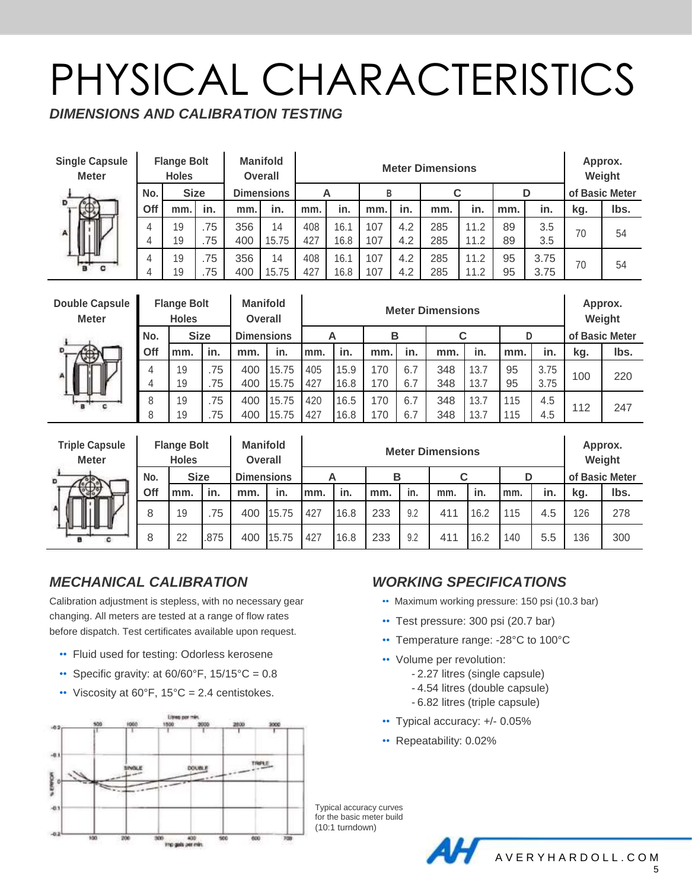### PHYSICAL CHARACTERISTICS

*DIMENSIONS AND CALIBRATION TESTING*

| <b>Single Capsule</b><br><b>Meter</b> | <b>Flange Bolt</b><br><b>Holes</b> |             |     | <b>Manifold</b><br><b>Overall</b> |       |     |      |     | <b>Meter Dimensions</b> |     |      |     |      |                |      |  |  |  |
|---------------------------------------|------------------------------------|-------------|-----|-----------------------------------|-------|-----|------|-----|-------------------------|-----|------|-----|------|----------------|------|--|--|--|
|                                       | No.                                | <b>Size</b> |     | <b>Dimensions</b>                 |       | A   |      | В   |                         |     |      | D   |      | of Basic Meter |      |  |  |  |
| D                                     | Off                                | mm.         | in. | mm.                               | in.   | mm. | in.  | mm. | in.                     | mm. | in.  | mm. | in.  | kg.            | Ibs. |  |  |  |
| A                                     | 4                                  | 19          | .75 | 356                               | 14    | 408 | 16.1 | 107 | 4.2                     | 285 | 11.2 | 89  | 3.5  | 70             | 54   |  |  |  |
| ╜                                     | 4                                  | 19          | .75 | 400                               | 15.75 | 427 | 16.8 | 107 | 4.2                     | 285 | 11.2 | 89  | 3.5  |                |      |  |  |  |
|                                       | 4                                  | 19          | .75 | 356                               | 14    | 408 | 16.1 | 107 | 4.2                     | 285 | 11.2 | 95  | 3.75 | 70             |      |  |  |  |
|                                       | 4                                  | 19          | .75 | 400                               | 15.75 | 427 | 16.8 | 107 | 4.2                     | 285 | 11.2 | 95  | 3.75 |                | 54   |  |  |  |

| <b>Double Capsule</b><br><b>Meter</b> | <b>Flange Bolt</b><br><b>Holes</b> |     | <b>Manifold</b><br><b>Overall</b> |                   |       |     |      |     | Approx.<br>Weight |     |      |     |      |     |                |  |
|---------------------------------------|------------------------------------|-----|-----------------------------------|-------------------|-------|-----|------|-----|-------------------|-----|------|-----|------|-----|----------------|--|
|                                       | <b>Size</b><br>No.                 |     |                                   | <b>Dimensions</b> |       |     | A    |     | в                 |     | C    |     | D    |     | of Basic Meter |  |
| 260<br>W<br>⊮                         | Off                                | mm. | in.                               | mm.               | in.   | mm. | in.  | mm. | in.               | mm. | in.  | mm. | in.  | kg. | lbs.           |  |
|                                       | 4                                  | 19  | .75                               | 400               | 15.75 | 405 | 15.9 | 170 | 6.7               | 348 | 13.7 | 95  | 3.75 | 100 | 220            |  |
|                                       |                                    | 19  | .75                               | 400               | 15.75 | 427 | 16.8 | 170 | 6.7               | 348 | 13.7 | 95  | 3.75 |     |                |  |
|                                       | 8                                  | 19  | .75                               | 400               | 15.75 | 420 | 16.5 | 170 | 6.7               | 348 | 13.7 | 115 | 4.5  | 112 | 247            |  |
|                                       | 8                                  | 19  | .75                               | 400               | 15.75 | 427 | 16.8 | 170 | 6.7               | 348 | 13.7 | 115 | 4.5  |     |                |  |

| <b>Triple Capsule</b><br><b>Meter</b> | <b>Flange Bolt</b><br><b>Holes</b> |     | <b>Manifold</b><br><b>Overall</b> |                   |       |     |      |     |     | Approx.<br>Weight |      |     |     |                |      |
|---------------------------------------|------------------------------------|-----|-----------------------------------|-------------------|-------|-----|------|-----|-----|-------------------|------|-----|-----|----------------|------|
| D                                     | <b>Size</b><br>No.                 |     |                                   | <b>Dimensions</b> |       | Α   |      | в   |     | C                 |      | D   |     | of Basic Meter |      |
|                                       | Off                                | mm. | in.                               | mm.               | in.   | mm. | in.  | mm. | in. | mm.               | in.  | mm. | in. | kg.            | Ibs. |
| ∥                                     | 8                                  | 19  | .75                               | 400               | 15.75 | 427 | 16.8 | 233 | 9.2 | 411               | 16.2 | 115 | 4.5 | 126            | 278  |
|                                       | 8                                  | 22  | .875                              | 400               | 15.75 | 427 | 16.8 | 233 | 9.2 | 411               | 16.2 | 140 | 5.5 | 136            | 300  |

#### *MECHANICAL CALIBRATION*

Calibration adjustment is stepless, with no necessary gear changing. All meters are tested at a range of flow rates before dispatch. Test certificates available upon request.

- •• Fluid used for testing: Odorless kerosene
- Specific gravity: at  $60/60^{\circ}$ F,  $15/15^{\circ}$ C = 0.8
- Viscosity at  $60^{\circ}$ F,  $15^{\circ}$ C = 2.4 centistokes.



#### *WORKING SPECIFICATIONS*

- •• Maximum working pressure: 150 psi (10.3 bar)
- •• Test pressure: 300 psi (20.7 bar)
- Temperature range: -28°C to 100°C
- •• Volume per revolution:
	- 2.27 litres (single capsule)
	- 4.54 litres (double capsule)
	- 6.82 litres (triple capsule)
- •• Typical accuracy: +/- 0.05%
- •• Repeatability: 0.02%

Typical accuracy curves for the basic meter build (10:1 turndown)